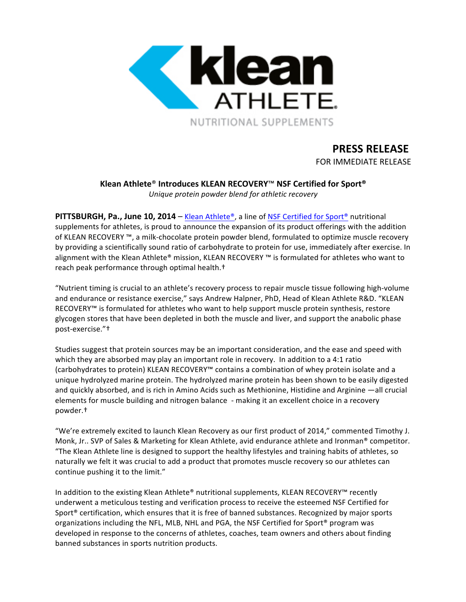

# **PRESS RELEASE**

FOR IMMEDIATE RELEASE

## **Klean Athlete**® **Introduces KLEAN RECOVERY**™ **NSF Certified for Sport®**

*Unique protein powder blend for athletic recovery*

**PITTSBURGH, Pa., June 10, 2014** – Klean Athlete®, a line of NSF Certified for Sport® nutritional supplements for athletes, is proud to announce the expansion of its product offerings with the addition of KLEAN RECOVERY ™, a milk-chocolate protein powder blend, formulated to optimize muscle recovery by providing a scientifically sound ratio of carbohydrate to protein for use, immediately after exercise. In alignment with the Klean Athlete® mission, KLEAN RECOVERY ™ is formulated for athletes who want to reach peak performance through optimal health.<sup>†</sup>

"Nutrient timing is crucial to an athlete's recovery process to repair muscle tissue following high-volume and endurance or resistance exercise," says Andrew Halpner, PhD, Head of Klean Athlete R&D. "KLEAN RECOVERY™ is formulated for athletes who want to help support muscle protein synthesis, restore glycogen stores that have been depleted in both the muscle and liver, and support the anabolic phase post-exercise."<sup>+</sup>

Studies suggest that protein sources may be an important consideration, and the ease and speed with which they are absorbed may play an important role in recovery. In addition to a 4:1 ratio (carbohydrates to protein) KLEAN RECOVERY™ contains a combination of whey protein isolate and a unique hydrolyzed marine protein. The hydrolyzed marine protein has been shown to be easily digested and quickly absorbed, and is rich in Amino Acids such as Methionine, Histidine and Arginine —all crucial elements for muscle building and nitrogen balance - making it an excellent choice in a recovery powder.†

"We're extremely excited to launch Klean Recovery as our first product of 2014," commented Timothy J. Monk, Jr.. SVP of Sales & Marketing for Klean Athlete, avid endurance athlete and Ironman<sup>®</sup> competitor. "The Klean Athlete line is designed to support the healthy lifestyles and training habits of athletes, so naturally we felt it was crucial to add a product that promotes muscle recovery so our athletes can continue pushing it to the limit."

In addition to the existing Klean Athlete® nutritional supplements, KLEAN RECOVERY™ recently underwent a meticulous testing and verification process to receive the esteemed NSF Certified for Sport<sup>®</sup> certification, which ensures that it is free of banned substances. Recognized by major sports organizations including the NFL, MLB, NHL and PGA, the NSF Certified for Sport® program was developed in response to the concerns of athletes, coaches, team owners and others about finding banned substances in sports nutrition products.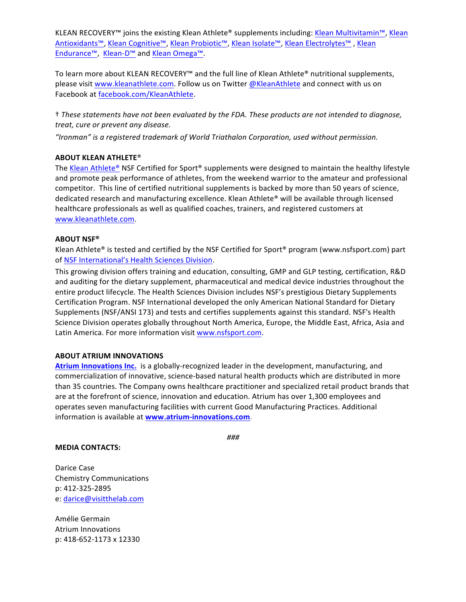KLEAN RECOVERY™ joins the existing Klean Athlete® supplements including: Klean Multivitamin™, Klean Antioxidants™, Klean Cognitive™, Klean Probiotic™, Klean Isolate™, Klean Electrolytes™, Klean Endurance™, Klean-D™ and Klean Omega™.

To learn more about KLEAN RECOVERY™ and the full line of Klean Athlete® nutritional supplements, please visit www.kleanathlete.com. Follow us on Twitter @KleanAthlete and connect with us on Facebook at facebook.com/KleanAthlete.

† *These statements have not been evaluated by the FDA. These products are not intended to diagnose, treat, cure or prevent any disease.*

"Ironman" is a registered trademark of World Triathalon Corporation, used without permission.

#### **ABOUT KLEAN ATHLETE®**

The Klean Athlete® NSF Certified for Sport® supplements were designed to maintain the healthy lifestyle and promote peak performance of athletes, from the weekend warrior to the amateur and professional competitor. This line of certified nutritional supplements is backed by more than 50 years of science, dedicated research and manufacturing excellence. Klean Athlete® will be available through licensed healthcare professionals as well as qualified coaches, trainers, and registered customers at www.kleanathlete.com.

#### **ABOUT NSF®**

Klean Athlete® is tested and certified by the NSF Certified for Sport® program (www.nsfsport.com) part of NSF International's Health Sciences Division.

This growing division offers training and education, consulting, GMP and GLP testing, certification, R&D and auditing for the dietary supplement, pharmaceutical and medical device industries throughout the entire product lifecycle. The Health Sciences Division includes NSF's prestigious Dietary Supplements Certification Program. NSF International developed the only American National Standard for Dietary Supplements (NSF/ANSI 173) and tests and certifies supplements against this standard. NSF's Health Science Division operates globally throughout North America, Europe, the Middle East, Africa, Asia and Latin America. For more information visit www.nsfsport.com.

#### **ABOUT ATRIUM INNOVATIONS**

Atrium Innovations Inc. is a globally-recognized leader in the development, manufacturing, and commercialization of innovative, science-based natural health products which are distributed in more than 35 countries. The Company owns healthcare practitioner and specialized retail product brands that are at the forefront of science, innovation and education. Atrium has over 1,300 employees and operates seven manufacturing facilities with current Good Manufacturing Practices. Additional information is available at **www.atrium-innovations.com**.

### *###*

#### **MEDIA CONTACTS:**

Darice Case Chemistry Communications p: 412-325-2895 e: darice@visitthelab.com

Amélie Germain Atrium Innovations p: 418-652-1173 x 12330